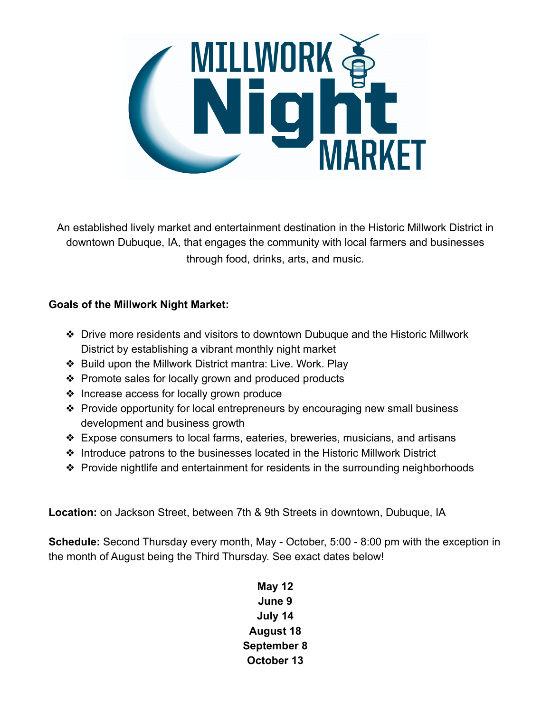

An established lively market and entertainment destination in the Historic Millwork District in downtown Dubuque, IA, that engages the community with local farmers and businesses through food, drinks, arts, and music.

#### **Goals of the Millwork Night Market:**

- ❖ Drive more residents and visitors to downtown Dubuque and the Historic Millwork District by establishing a vibrant monthly night market
- ❖ Build upon the Millwork District mantra: Live. Work. Play
- ❖ Promote sales for locally grown and produced products
- ❖ Increase access for locally grown produce
- ❖ Provide opportunity for local entrepreneurs by encouraging new small business development and business growth
- ❖ Expose consumers to local farms, eateries, breweries, musicians, and artisans
- ❖ Introduce patrons to the businesses located in the Historic Millwork District
- ❖ Provide nightlife and entertainment for residents in the surrounding neighborhoods

**Location:** on Jackson Street, between 7th & 9th Streets in downtown, Dubuque, IA

**Schedule:** Second Thursday every month, May - October, 5:00 - 8:00 pm with the exception in the month of August being the Third Thursday. See exact dates below!

### **May 12 June 9 July 14 August 18 September 8 October 13**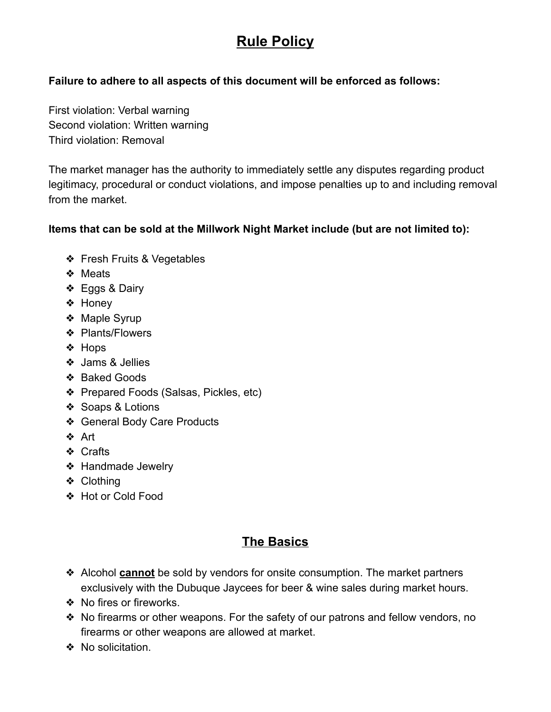# **Rule Policy**

#### **Failure to adhere to all aspects of this document will be enforced as follows:**

First violation: Verbal warning Second violation: Written warning Third violation: Removal

The market manager has the authority to immediately settle any disputes regarding product legitimacy, procedural or conduct violations, and impose penalties up to and including removal from the market

#### **Items that can be sold at the Millwork Night Market include (but are not limited to):**

- ❖ Fresh Fruits & Vegetables
- ❖ Meats
- ❖ Eggs & Dairy
- ❖ Honey
- ❖ Maple Syrup
- ❖ Plants/Flowers
- ❖ Hops
- ❖ Jams & Jellies
- ❖ Baked Goods
- ❖ Prepared Foods (Salsas, Pickles, etc)
- ❖ Soaps & Lotions
- ❖ General Body Care Products
- ❖ Art
- ❖ Crafts
- ❖ Handmade Jewelry
- ❖ Clothing
- ❖ Hot or Cold Food

### **The Basics**

- ❖ Alcohol **cannot** be sold by vendors for onsite consumption. The market partners exclusively with the Dubuque Jaycees for beer & wine sales during market hours.
- ❖ No fires or fireworks.
- ❖ No firearms or other weapons. For the safety of our patrons and fellow vendors, no firearms or other weapons are allowed at market.
- ❖ No solicitation.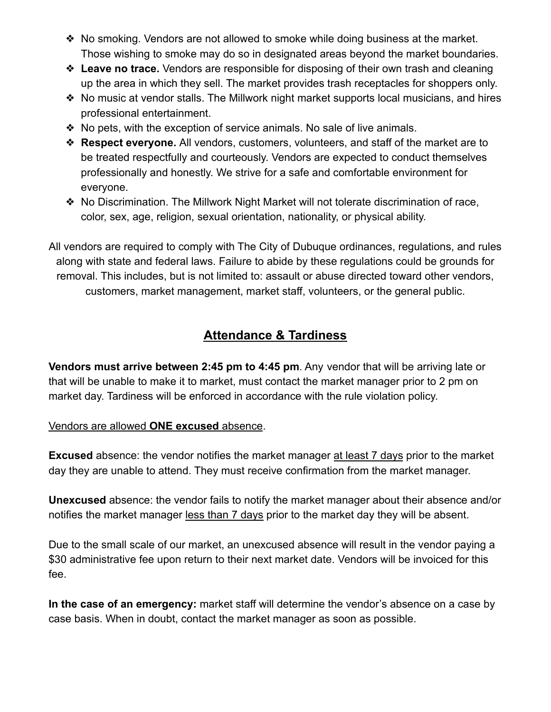- ❖ No smoking. Vendors are not allowed to smoke while doing business at the market. Those wishing to smoke may do so in designated areas beyond the market boundaries.
- ❖ **Leave no trace.** Vendors are responsible for disposing of their own trash and cleaning up the area in which they sell. The market provides trash receptacles for shoppers only.
- ❖ No music at vendor stalls. The Millwork night market supports local musicians, and hires professional entertainment.
- ❖ No pets, with the exception of service animals. No sale of live animals.
- ❖ **Respect everyone.** All vendors, customers, volunteers, and staff of the market are to be treated respectfully and courteously. Vendors are expected to conduct themselves professionally and honestly. We strive for a safe and comfortable environment for everyone.
- ❖ No Discrimination. The Millwork Night Market will not tolerate discrimination of race, color, sex, age, religion, sexual orientation, nationality, or physical ability.

All vendors are required to comply with The City of Dubuque ordinances, regulations, and rules along with state and federal laws. Failure to abide by these regulations could be grounds for removal. This includes, but is not limited to: assault or abuse directed toward other vendors, customers, market management, market staff, volunteers, or the general public.

# **Attendance & Tardiness**

**Vendors must arrive between 2:45 pm to 4:45 pm**. Any vendor that will be arriving late or that will be unable to make it to market, must contact the market manager prior to 2 pm on market day. Tardiness will be enforced in accordance with the rule violation policy.

#### Vendors are allowed **ONE excused** absence.

**Excused** absence: the vendor notifies the market manager at least 7 days prior to the market day they are unable to attend. They must receive confirmation from the market manager.

**Unexcused** absence: the vendor fails to notify the market manager about their absence and/or notifies the market manager less than 7 days prior to the market day they will be absent.

Due to the small scale of our market, an unexcused absence will result in the vendor paying a \$30 administrative fee upon return to their next market date. Vendors will be invoiced for this fee.

**In the case of an emergency:** market staff will determine the vendor's absence on a case by case basis. When in doubt, contact the market manager as soon as possible.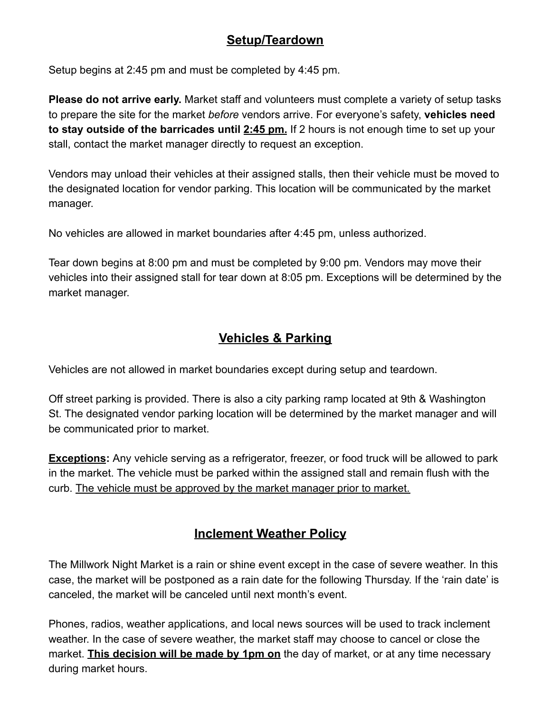### **Setup/Teardown**

Setup begins at 2:45 pm and must be completed by 4:45 pm.

**Please do not arrive early.** Market staff and volunteers must complete a variety of setup tasks to prepare the site for the market *before* vendors arrive. For everyone's safety, **vehicles need to stay outside of the barricades until 2:45 pm.** If 2 hours is not enough time to set up your stall, contact the market manager directly to request an exception.

Vendors may unload their vehicles at their assigned stalls, then their vehicle must be moved to the designated location for vendor parking. This location will be communicated by the market manager.

No vehicles are allowed in market boundaries after 4:45 pm, unless authorized.

Tear down begins at 8:00 pm and must be completed by 9:00 pm. Vendors may move their vehicles into their assigned stall for tear down at 8:05 pm. Exceptions will be determined by the market manager.

### **Vehicles & Parking**

Vehicles are not allowed in market boundaries except during setup and teardown.

Off street parking is provided. There is also a city parking ramp located at 9th & Washington St. The designated vendor parking location will be determined by the market manager and will be communicated prior to market.

**Exceptions:** Any vehicle serving as a refrigerator, freezer, or food truck will be allowed to park in the market. The vehicle must be parked within the assigned stall and remain flush with the curb. The vehicle must be approved by the market manager prior to market.

# **Inclement Weather Policy**

The Millwork Night Market is a rain or shine event except in the case of severe weather. In this case, the market will be postponed as a rain date for the following Thursday. If the 'rain date' is canceled, the market will be canceled until next month's event.

Phones, radios, weather applications, and local news sources will be used to track inclement weather. In the case of severe weather, the market staff may choose to cancel or close the market. **This decision will be made by 1pm on** the day of market, or at any time necessary during market hours.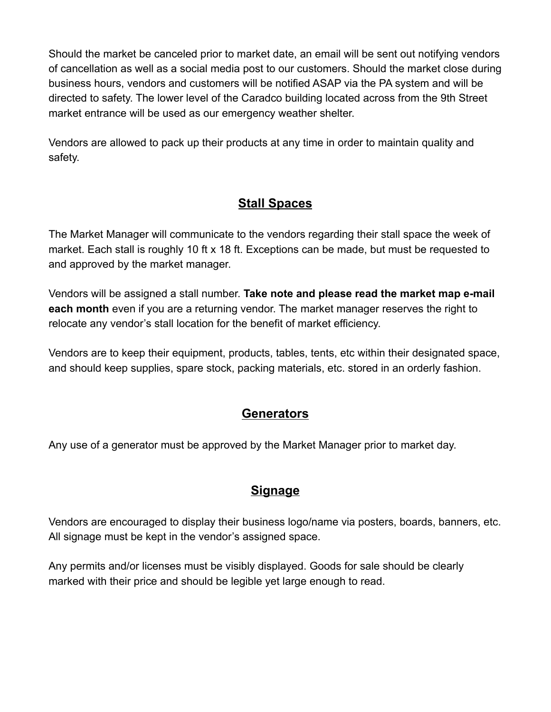Should the market be canceled prior to market date, an email will be sent out notifying vendors of cancellation as well as a social media post to our customers. Should the market close during business hours, vendors and customers will be notified ASAP via the PA system and will be directed to safety. The lower level of the Caradco building located across from the 9th Street market entrance will be used as our emergency weather shelter.

Vendors are allowed to pack up their products at any time in order to maintain quality and safety.

# **Stall Spaces**

The Market Manager will communicate to the vendors regarding their stall space the week of market. Each stall is roughly 10 ft x 18 ft. Exceptions can be made, but must be requested to and approved by the market manager.

Vendors will be assigned a stall number. **Take note and please read the market map e-mail each month** even if you are a returning vendor. The market manager reserves the right to relocate any vendor's stall location for the benefit of market efficiency.

Vendors are to keep their equipment, products, tables, tents, etc within their designated space, and should keep supplies, spare stock, packing materials, etc. stored in an orderly fashion.

### **Generators**

Any use of a generator must be approved by the Market Manager prior to market day.

# **Signage**

Vendors are encouraged to display their business logo/name via posters, boards, banners, etc. All signage must be kept in the vendor's assigned space.

Any permits and/or licenses must be visibly displayed. Goods for sale should be clearly marked with their price and should be legible yet large enough to read.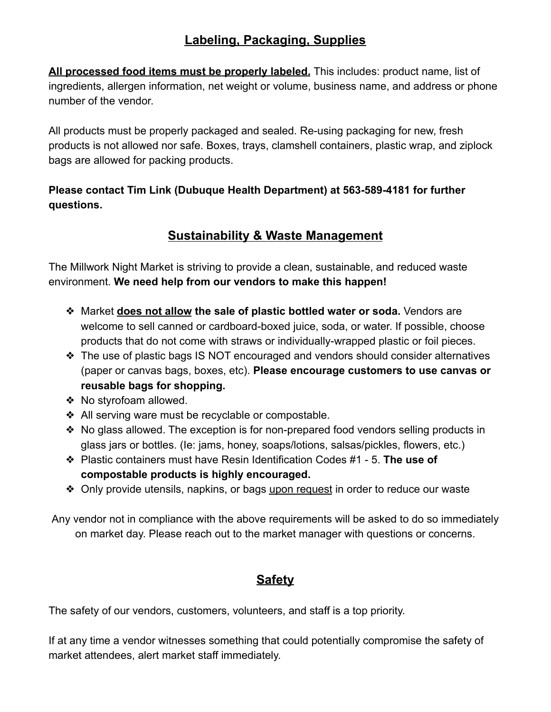# **Labeling, Packaging, Supplies**

**All processed food items must be properly labeled.** This includes: product name, list of ingredients, allergen information, net weight or volume, business name, and address or phone number of the vendor.

All products must be properly packaged and sealed. Re-using packaging for new, fresh products is not allowed nor safe. Boxes, trays, clamshell containers, plastic wrap, and ziplock bags are allowed for packing products.

### **Please contact Tim Link (Dubuque Health Department) at 563-589-4181 for further questions.**

# **Sustainability & Waste Management**

The Millwork Night Market is striving to provide a clean, sustainable, and reduced waste environment. **We need help from our vendors to make this happen!**

- ❖ Market **does not allow the sale of plastic bottled water or soda.** Vendors are welcome to sell canned or cardboard-boxed juice, soda, or water. If possible, choose products that do not come with straws or individually-wrapped plastic or foil pieces.
- ❖ The use of plastic bags IS NOT encouraged and vendors should consider alternatives (paper or canvas bags, boxes, etc). **Please encourage customers to use canvas or reusable bags for shopping.**
- ❖ No styrofoam allowed.
- ❖ All serving ware must be recyclable or compostable.
- ❖ No glass allowed. The exception is for non-prepared food vendors selling products in glass jars or bottles. (Ie: jams, honey, soaps/lotions, salsas/pickles, flowers, etc.)
- ❖ Plastic containers must have Resin Identification Codes #1 5. **The use of compostable products is highly encouraged.**
- ❖ Only provide utensils, napkins, or bags upon request in order to reduce our waste

Any vendor not in compliance with the above requirements will be asked to do so immediately on market day. Please reach out to the market manager with questions or concerns.

# **Safety**

The safety of our vendors, customers, volunteers, and staff is a top priority.

If at any time a vendor witnesses something that could potentially compromise the safety of market attendees, alert market staff immediately.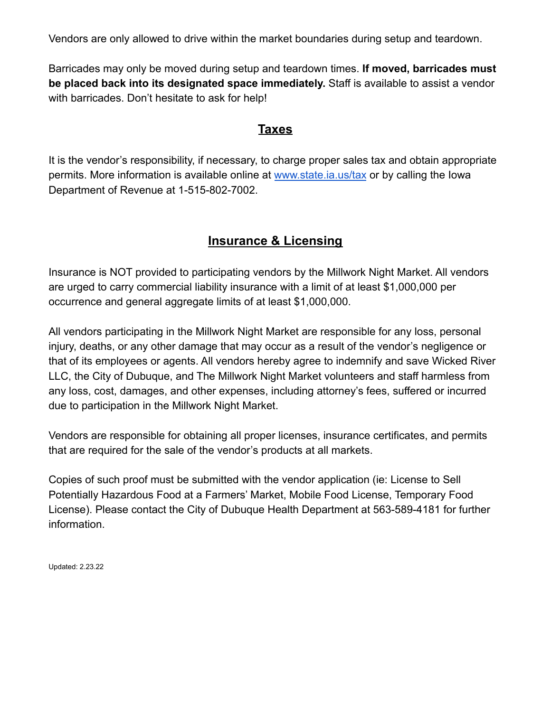Vendors are only allowed to drive within the market boundaries during setup and teardown.

Barricades may only be moved during setup and teardown times. **If moved, barricades must be placed back into its designated space immediately.** Staff is available to assist a vendor with barricades. Don't hesitate to ask for help!

#### **Taxes**

It is the vendor's responsibility, if necessary, to charge proper sales tax and obtain appropriate permits. More information is available online at [www.state.ia.us/tax](http://www.state.ia.us/tax) or by calling the Iowa Department of Revenue at 1-515-802-7002.

### **Insurance & Licensing**

Insurance is NOT provided to participating vendors by the Millwork Night Market. All vendors are urged to carry commercial liability insurance with a limit of at least \$1,000,000 per occurrence and general aggregate limits of at least \$1,000,000.

All vendors participating in the Millwork Night Market are responsible for any loss, personal injury, deaths, or any other damage that may occur as a result of the vendor's negligence or that of its employees or agents. All vendors hereby agree to indemnify and save Wicked River LLC, the City of Dubuque, and The Millwork Night Market volunteers and staff harmless from any loss, cost, damages, and other expenses, including attorney's fees, suffered or incurred due to participation in the Millwork Night Market.

Vendors are responsible for obtaining all proper licenses, insurance certificates, and permits that are required for the sale of the vendor's products at all markets.

Copies of such proof must be submitted with the vendor application (ie: License to Sell Potentially Hazardous Food at a Farmers' Market, Mobile Food License, Temporary Food License). Please contact the City of Dubuque Health Department at 563-589-4181 for further information.

Updated: 2.23.22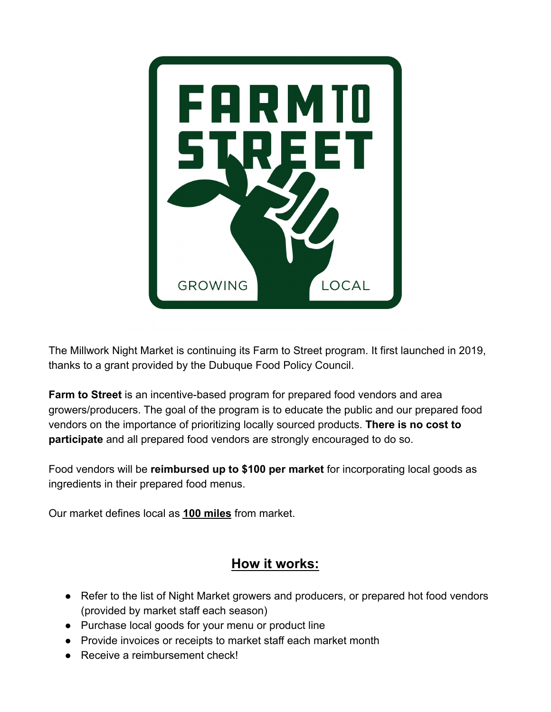

The Millwork Night Market is continuing its Farm to Street program. It first launched in 2019, thanks to a grant provided by the Dubuque Food Policy Council.

**Farm to Street** is an incentive-based program for prepared food vendors and area growers/producers. The goal of the program is to educate the public and our prepared food vendors on the importance of prioritizing locally sourced products. **There is no cost to participate** and all prepared food vendors are strongly encouraged to do so.

Food vendors will be **reimbursed up to \$100 per market** for incorporating local goods as ingredients in their prepared food menus.

Our market defines local as **100 miles** from market.

# **How it works:**

- Refer to the list of Night Market growers and producers, or prepared hot food vendors (provided by market staff each season)
- Purchase local goods for your menu or product line
- Provide invoices or receipts to market staff each market month
- Receive a reimbursement check!